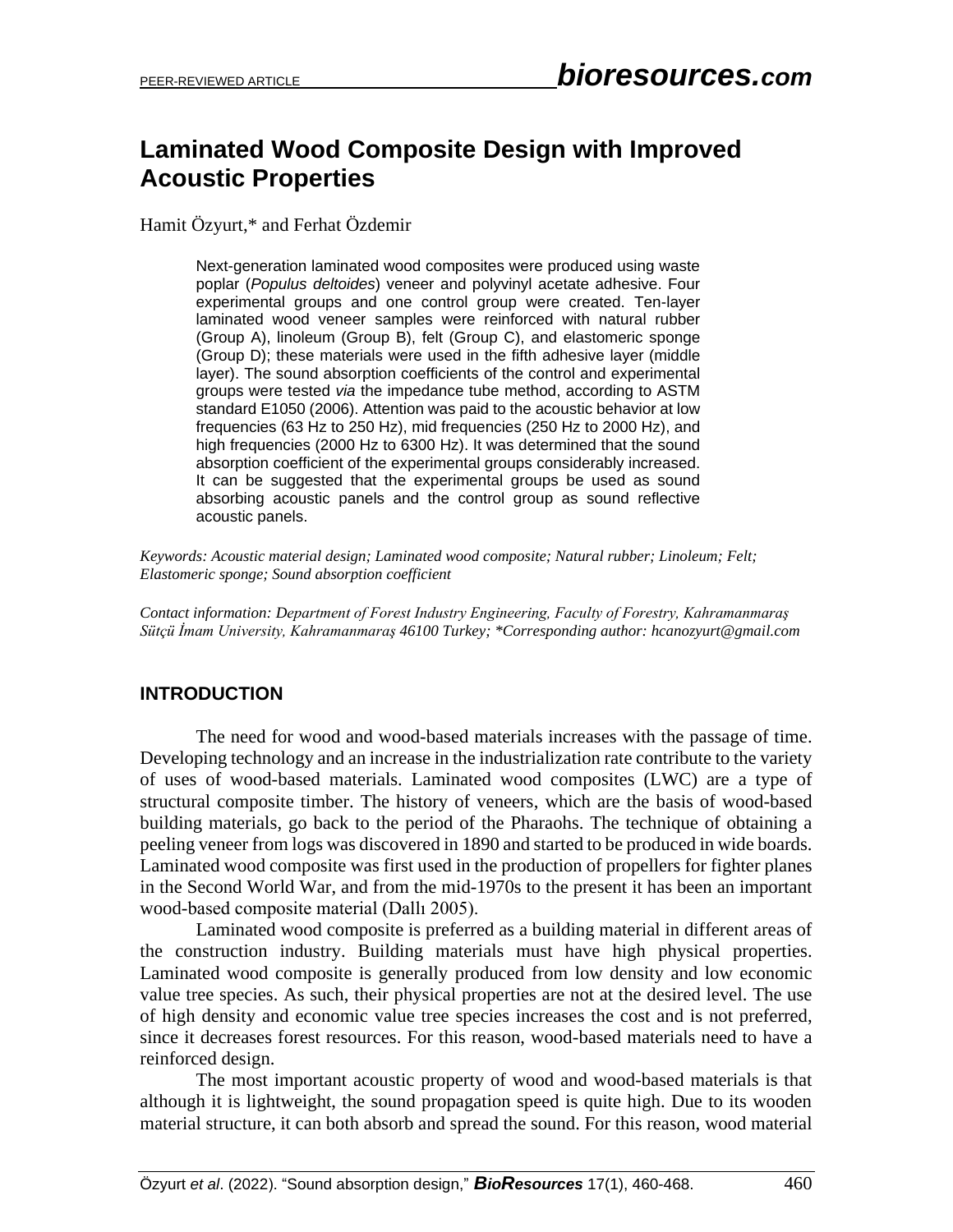# **Laminated Wood Composite Design with Improved Acoustic Properties**

Hamit Özyurt,\* and Ferhat Özdemir

Next-generation laminated wood composites were produced using waste poplar (*Populus deltoides*) veneer and polyvinyl acetate adhesive. Four experimental groups and one control group were created. Ten-layer laminated wood veneer samples were reinforced with natural rubber (Group A), linoleum (Group B), felt (Group C), and elastomeric sponge (Group D); these materials were used in the fifth adhesive layer (middle layer). The sound absorption coefficients of the control and experimental groups were tested *via* the impedance tube method, according to ASTM standard E1050 (2006). Attention was paid to the acoustic behavior at low frequencies (63 Hz to 250 Hz), mid frequencies (250 Hz to 2000 Hz), and high frequencies (2000 Hz to 6300 Hz). It was determined that the sound absorption coefficient of the experimental groups considerably increased. It can be suggested that the experimental groups be used as sound absorbing acoustic panels and the control group as sound reflective acoustic panels.

*Keywords: Acoustic material design; Laminated wood composite; Natural rubber; Linoleum; Felt; Elastomeric sponge; Sound absorption coefficient*

*Contact information: Department of Forest Industry Engineering, Faculty of Forestry, Kahramanmaraş Sütçü İmam University, Kahramanmaraş 46100 Turkey; \*Corresponding author: hcanozyurt@gmail.com* 

# **INTRODUCTION**

The need for wood and wood-based materials increases with the passage of time. Developing technology and an increase in the industrialization rate contribute to the variety of uses of wood-based materials. Laminated wood composites (LWC) are a type of structural composite timber. The history of veneers, which are the basis of wood-based building materials, go back to the period of the Pharaohs. The technique of obtaining a peeling veneer from logs was discovered in 1890 and started to be produced in wide boards. Laminated wood composite was first used in the production of propellers for fighter planes in the Second World War, and from the mid-1970s to the present it has been an important wood-based composite material (Dallı 2005).

Laminated wood composite is preferred as a building material in different areas of the construction industry. Building materials must have high physical properties. Laminated wood composite is generally produced from low density and low economic value tree species. As such, their physical properties are not at the desired level. The use of high density and economic value tree species increases the cost and is not preferred, since it decreases forest resources. For this reason, wood-based materials need to have a reinforced design.

The most important acoustic property of wood and wood-based materials is that although it is lightweight, the sound propagation speed is quite high. Due to its wooden material structure, it can both absorb and spread the sound. For this reason, wood material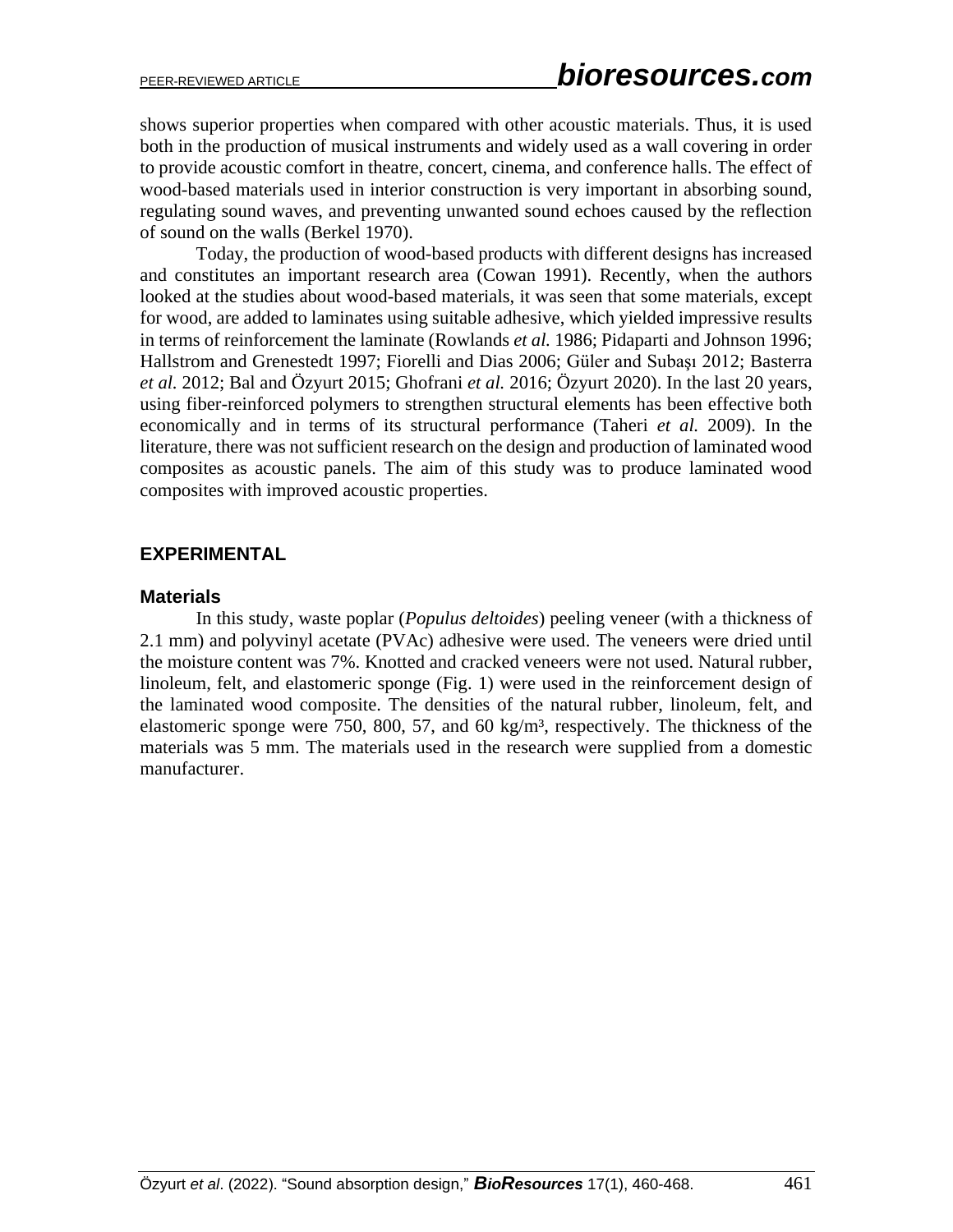shows superior properties when compared with other acoustic materials. Thus, it is used both in the production of musical instruments and widely used as a wall covering in order to provide acoustic comfort in theatre, concert, cinema, and conference halls. The effect of wood-based materials used in interior construction is very important in absorbing sound, regulating sound waves, and preventing unwanted sound echoes caused by the reflection of sound on the walls (Berkel 1970).

Today, the production of wood-based products with different designs has increased and constitutes an important research area (Cowan 1991). Recently, when the authors looked at the studies about wood-based materials, it was seen that some materials, except for wood, are added to laminates using suitable adhesive, which yielded impressive results in terms of reinforcement the laminate (Rowlands *et al.* 1986; Pidaparti and Johnson 1996; Hallstrom and Grenestedt 1997; Fiorelli and Dias 2006; Güler and Subaşı 2012; Basterra *et al.* 2012; Bal and Özyurt 2015; Ghofrani *et al.* 2016; Özyurt 2020). In the last 20 years, using fiber-reinforced polymers to strengthen structural elements has been effective both economically and in terms of its structural performance (Taheri *et al.* 2009). In the literature, there was not sufficient research on the design and production of laminated wood composites as acoustic panels. The aim of this study was to produce laminated wood composites with improved acoustic properties.

### **EXPERIMENTAL**

#### **Materials**

In this study, waste poplar (*Populus deltoides*) peeling veneer (with a thickness of 2.1 mm) and polyvinyl acetate (PVAc) adhesive were used. The veneers were dried until the moisture content was 7%. Knotted and cracked veneers were not used. Natural rubber, linoleum, felt, and elastomeric sponge (Fig. 1) were used in the reinforcement design of the laminated wood composite. The densities of the natural rubber, linoleum, felt, and elastomeric sponge were 750, 800, 57, and 60 kg/m<sup>3</sup>, respectively. The thickness of the materials was 5 mm. The materials used in the research were supplied from a domestic manufacturer.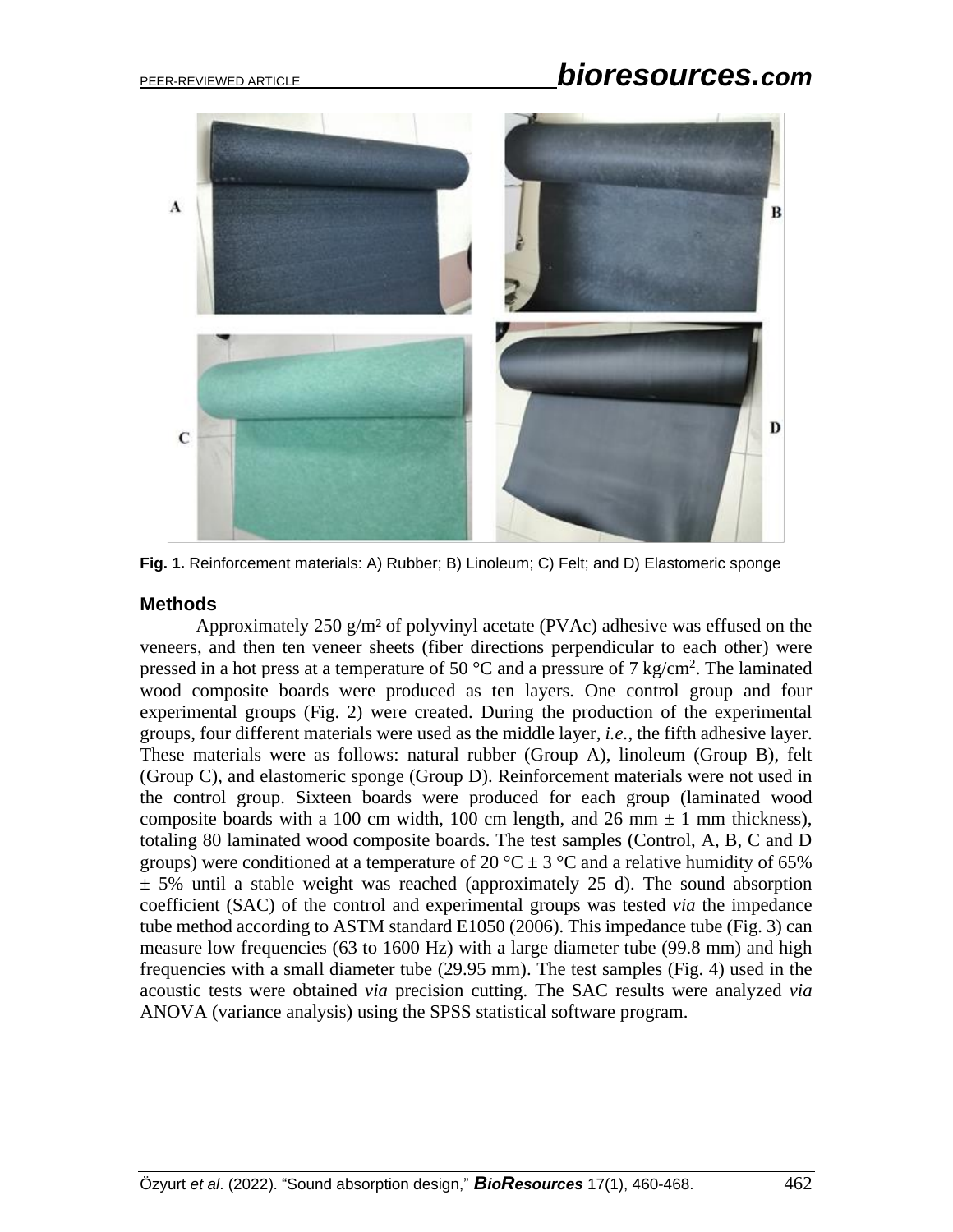# PEER-REVIEWED ARTICLE *bioresources.com*



**Fig. 1.** Reinforcement materials: A) Rubber; B) Linoleum; C) Felt; and D) Elastomeric sponge

#### **Methods**

Approximately 250 g/m² of polyvinyl acetate (PVAc) adhesive was effused on the veneers, and then ten veneer sheets (fiber directions perpendicular to each other) were pressed in a hot press at a temperature of 50  $^{\circ}$ C and a pressure of 7 kg/cm<sup>2</sup>. The laminated wood composite boards were produced as ten layers. One control group and four experimental groups (Fig. 2) were created. During the production of the experimental groups, four different materials were used as the middle layer, *i.e.*, the fifth adhesive layer. These materials were as follows: natural rubber (Group A), linoleum (Group B), felt (Group C), and elastomeric sponge (Group D). Reinforcement materials were not used in the control group. Sixteen boards were produced for each group (laminated wood composite boards with a 100 cm width, 100 cm length, and 26 mm  $\pm$  1 mm thickness), totaling 80 laminated wood composite boards. The test samples (Control, A, B, C and D groups) were conditioned at a temperature of 20 °C  $\pm$  3 °C and a relative humidity of 65%  $\pm$  5% until a stable weight was reached (approximately 25 d). The sound absorption coefficient (SAC) of the control and experimental groups was tested *via* the impedance tube method according to ASTM standard E1050 (2006). This impedance tube (Fig. 3) can measure low frequencies (63 to 1600 Hz) with a large diameter tube (99.8 mm) and high frequencies with a small diameter tube (29.95 mm). The test samples (Fig. 4) used in the acoustic tests were obtained *via* precision cutting. The SAC results were analyzed *via* ANOVA (variance analysis) using the SPSS statistical software program.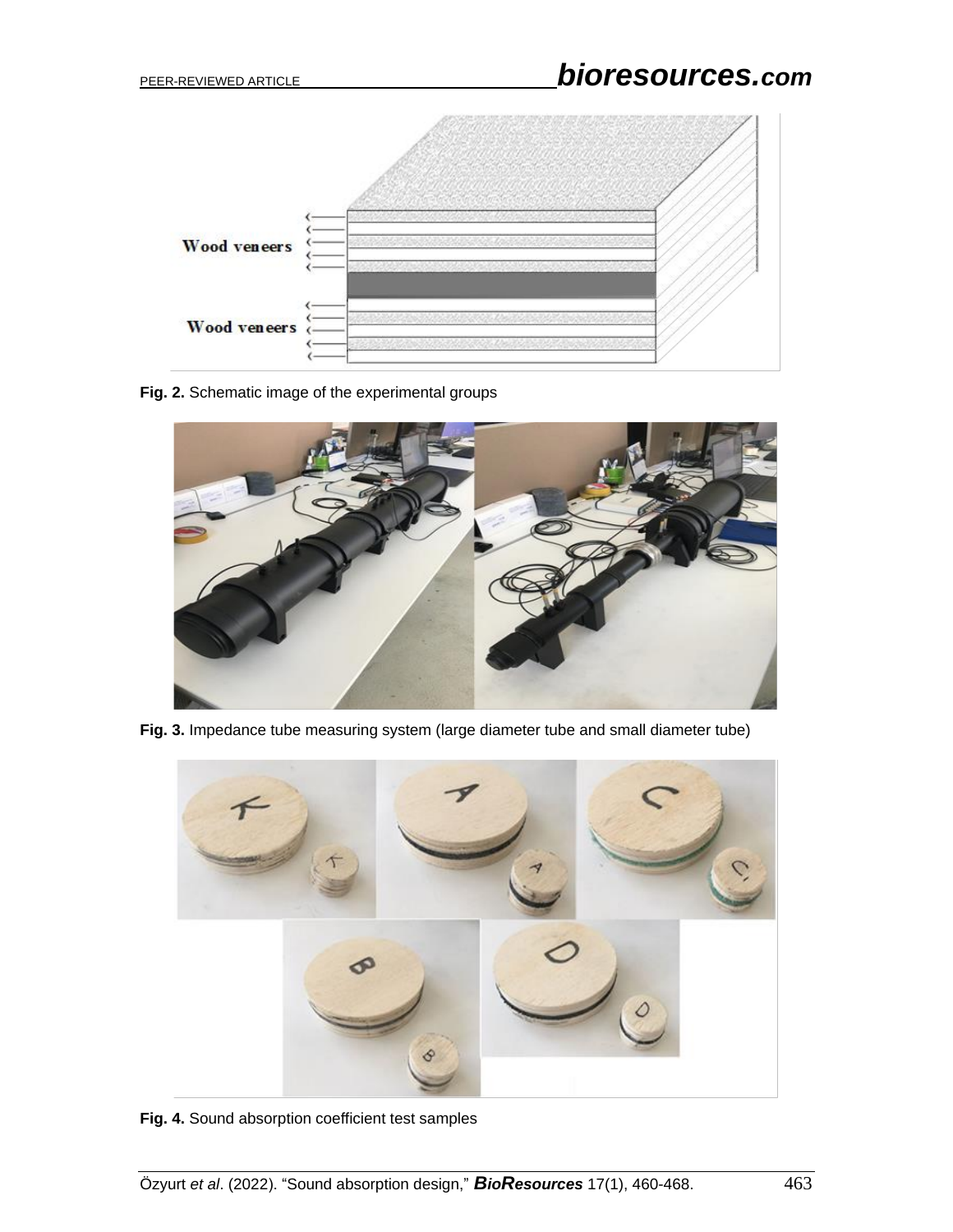

**Fig. 2.** Schematic image of the experimental groups



Fig. 3. Impedance tube measuring system (large diameter tube and small diameter tube)



**Fig. 4.** Sound absorption coefficient test samples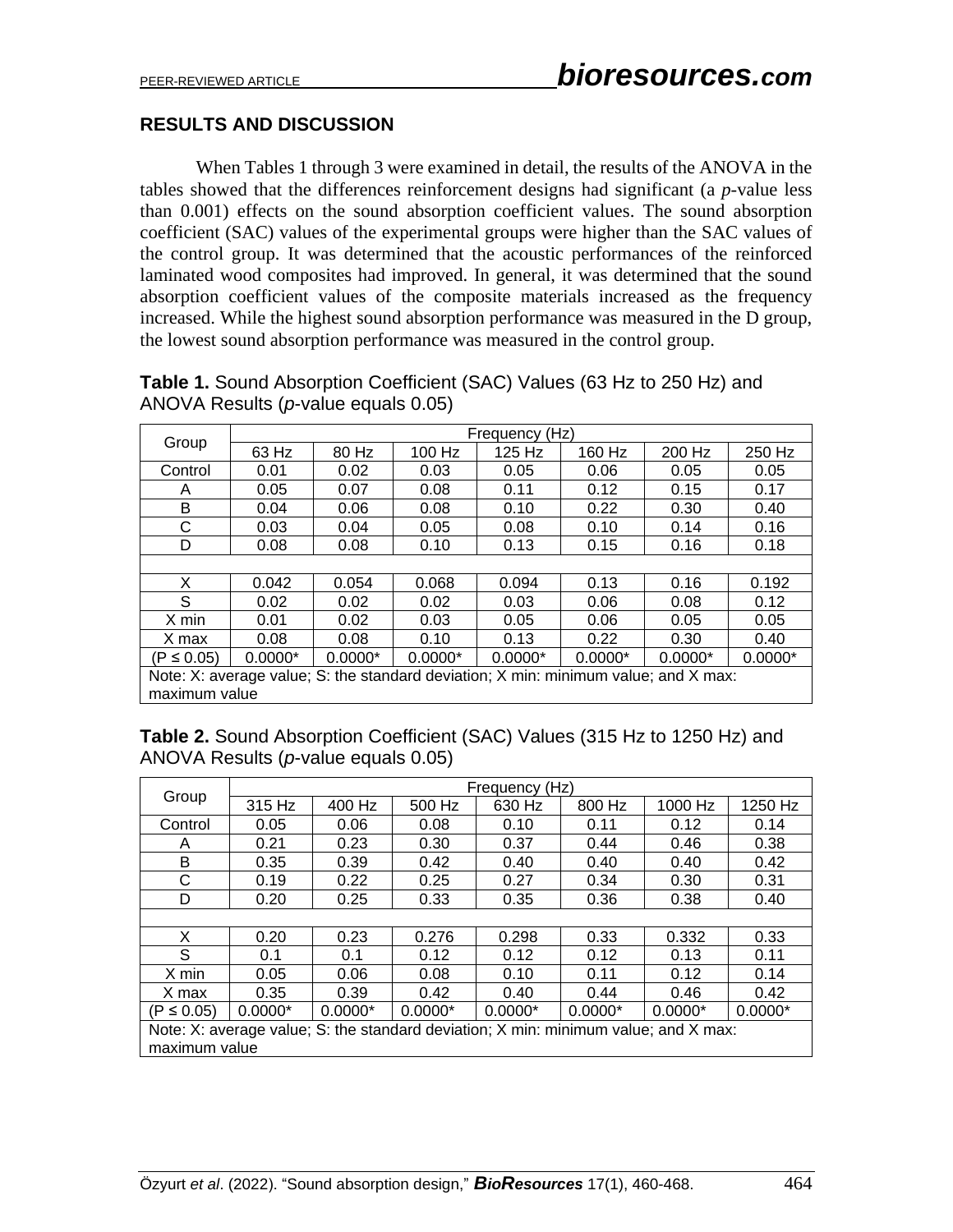# **RESULTS AND DISCUSSION**

When Tables 1 through 3 were examined in detail, the results of the ANOVA in the tables showed that the differences reinforcement designs had significant (a *p*-value less than 0.001) effects on the sound absorption coefficient values. The sound absorption coefficient (SAC) values of the experimental groups were higher than the SAC values of the control group. It was determined that the acoustic performances of the reinforced laminated wood composites had improved. In general, it was determined that the sound absorption coefficient values of the composite materials increased as the frequency increased. While the highest sound absorption performance was measured in the D group, the lowest sound absorption performance was measured in the control group.

**Table 1.** Sound Absorption Coefficient (SAC) Values (63 Hz to 250 Hz) and ANOVA Results (*p*-value equals 0.05)

| Group                                                                               | Frequency (Hz) |           |           |           |           |           |           |  |
|-------------------------------------------------------------------------------------|----------------|-----------|-----------|-----------|-----------|-----------|-----------|--|
|                                                                                     | 63 Hz          | 80 Hz     | 100 Hz    | 125 Hz    | 160 Hz    | 200 Hz    | 250 Hz    |  |
| Control                                                                             | 0.01           | 0.02      | 0.03      | 0.05      | 0.06      | 0.05      | 0.05      |  |
| A                                                                                   | 0.05           | 0.07      | 0.08      | 0.11      | 0.12      | 0.15      | 0.17      |  |
| B                                                                                   | 0.04           | 0.06      | 0.08      | 0.10      | 0.22      | 0.30      | 0.40      |  |
| C                                                                                   | 0.03           | 0.04      | 0.05      | 0.08      | 0.10      | 0.14      | 0.16      |  |
| D                                                                                   | 0.08           | 0.08      | 0.10      | 0.13      | 0.15      | 0.16      | 0.18      |  |
|                                                                                     |                |           |           |           |           |           |           |  |
| X                                                                                   | 0.042          | 0.054     | 0.068     | 0.094     | 0.13      | 0.16      | 0.192     |  |
| S                                                                                   | 0.02           | 0.02      | 0.02      | 0.03      | 0.06      | 0.08      | 0.12      |  |
| X min                                                                               | 0.01           | 0.02      | 0.03      | 0.05      | 0.06      | 0.05      | 0.05      |  |
| X max                                                                               | 0.08           | 0.08      | 0.10      | 0.13      | 0.22      | 0.30      | 0.40      |  |
| (P ≤ 0.05)                                                                          | $0.0000*$      | $0.0000*$ | $0.0000*$ | $0.0000*$ | $0.0000*$ | $0.0000*$ | $0.0000*$ |  |
| Note: X: average value; S: the standard deviation; X min: minimum value; and X max: |                |           |           |           |           |           |           |  |
| maximum value                                                                       |                |           |           |           |           |           |           |  |

**Table 2.** Sound Absorption Coefficient (SAC) Values (315 Hz to 1250 Hz) and ANOVA Results (*p*-value equals 0.05)

| Group                                                                               | Frequency (Hz) |           |           |           |           |           |           |  |
|-------------------------------------------------------------------------------------|----------------|-----------|-----------|-----------|-----------|-----------|-----------|--|
|                                                                                     | 315 Hz         | 400 Hz    | 500 Hz    | 630 Hz    | 800 Hz    | 1000 Hz   | 1250 Hz   |  |
| Control                                                                             | 0.05           | 0.06      | 0.08      | 0.10      | 0.11      | 0.12      | 0.14      |  |
| A                                                                                   | 0.21           | 0.23      | 0.30      | 0.37      | 0.44      | 0.46      | 0.38      |  |
| B                                                                                   | 0.35           | 0.39      | 0.42      | 0.40      | 0.40      | 0.40      | 0.42      |  |
| С                                                                                   | 0.19           | 0.22      | 0.25      | 0.27      | 0.34      | 0.30      | 0.31      |  |
| D                                                                                   | 0.20           | 0.25      | 0.33      | 0.35      | 0.36      | 0.38      | 0.40      |  |
|                                                                                     |                |           |           |           |           |           |           |  |
| X                                                                                   | 0.20           | 0.23      | 0.276     | 0.298     | 0.33      | 0.332     | 0.33      |  |
| S                                                                                   | 0.1            | 0.1       | 0.12      | 0.12      | 0.12      | 0.13      | 0.11      |  |
| X min                                                                               | 0.05           | 0.06      | 0.08      | 0.10      | 0.11      | 0.12      | 0.14      |  |
| X max                                                                               | 0.35           | 0.39      | 0.42      | 0.40      | 0.44      | 0.46      | 0.42      |  |
| $(P \le 0.05)$                                                                      | $0.0000*$      | $0.0000*$ | $0.0000*$ | $0.0000*$ | $0.0000*$ | $0.0000*$ | $0.0000*$ |  |
| Note: X: average value; S: the standard deviation; X min: minimum value; and X max: |                |           |           |           |           |           |           |  |
| maximum value                                                                       |                |           |           |           |           |           |           |  |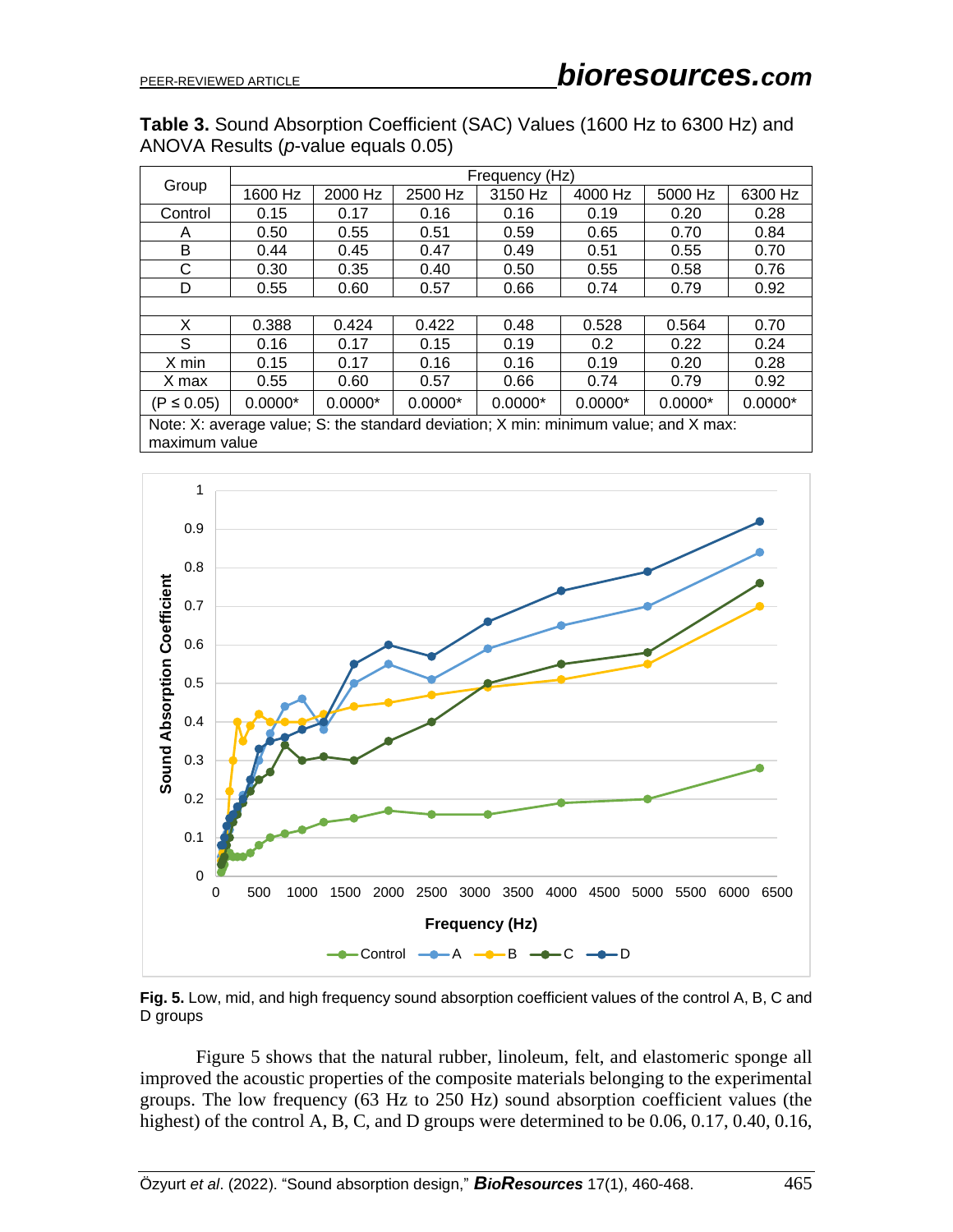#### **Table 3.** Sound Absorption Coefficient (SAC) Values (1600 Hz to 6300 Hz) and ANOVA Results (*p*-value equals 0.05)

| Group          | Frequency (Hz) |               |           |               |           |           |           |  |
|----------------|----------------|---------------|-----------|---------------|-----------|-----------|-----------|--|
|                | 1600 Hz        | 2000 Hz       | 2500 Hz   | 3150 Hz       | 4000 Hz   | 5000 Hz   | 6300 Hz   |  |
| Control        | 0.15           | 0.17          | 0.16      | 0.16          | 0.19      | 0.20      | 0.28      |  |
| A              | 0.50           | 0.55          | 0.51      | 0.59          | 0.65      | 0.70      | 0.84      |  |
| B              | 0.44           | 0.45          | 0.47      | 0.49          | 0.51      | 0.55      | 0.70      |  |
| С              | 0.30           | 0.35          | 0.40      | 0.50          | 0.55      | 0.58      | 0.76      |  |
| D              | 0.55           | 0.60          | 0.57      | 0.66          | 0.74      | 0.79      | 0.92      |  |
|                |                |               |           |               |           |           |           |  |
| X              | 0.388          | 0.424         | 0.422     | 0.48          | 0.528     | 0.564     | 0.70      |  |
| S              | 0.16           | 0.17          | 0.15      | 0.19          | 0.2       | 0.22      | 0.24      |  |
| X min          | 0.15           | 0.17          | 0.16      | 0.16          | 0.19      | 0.20      | 0.28      |  |
| X max          | 0.55           | 0.60          | 0.57      | 0.66          | 0.74      | 0.79      | 0.92      |  |
| $(P \le 0.05)$ | $0.0000*$      | $0.0000*$     | $0.0000*$ | $0.0000*$     | $0.0000*$ | $0.0000*$ | $0.0000*$ |  |
| $\cdots$       |                | $\sim$ $\sim$ | .         | $\sim$ $\sim$ |           | $\cdots$  |           |  |

Note: X: average value; S: the standard deviation; X min: minimum value; and X max: maximum value



**Fig. 5.** Low, mid, and high frequency sound absorption coefficient values of the control A, B, C and D groups

Figure 5 shows that the natural rubber, linoleum, felt, and elastomeric sponge all improved the acoustic properties of the composite materials belonging to the experimental groups. The low frequency (63 Hz to 250 Hz) sound absorption coefficient values (the highest) of the control A, B, C, and D groups were determined to be 0.06, 0.17, 0.40, 0.16,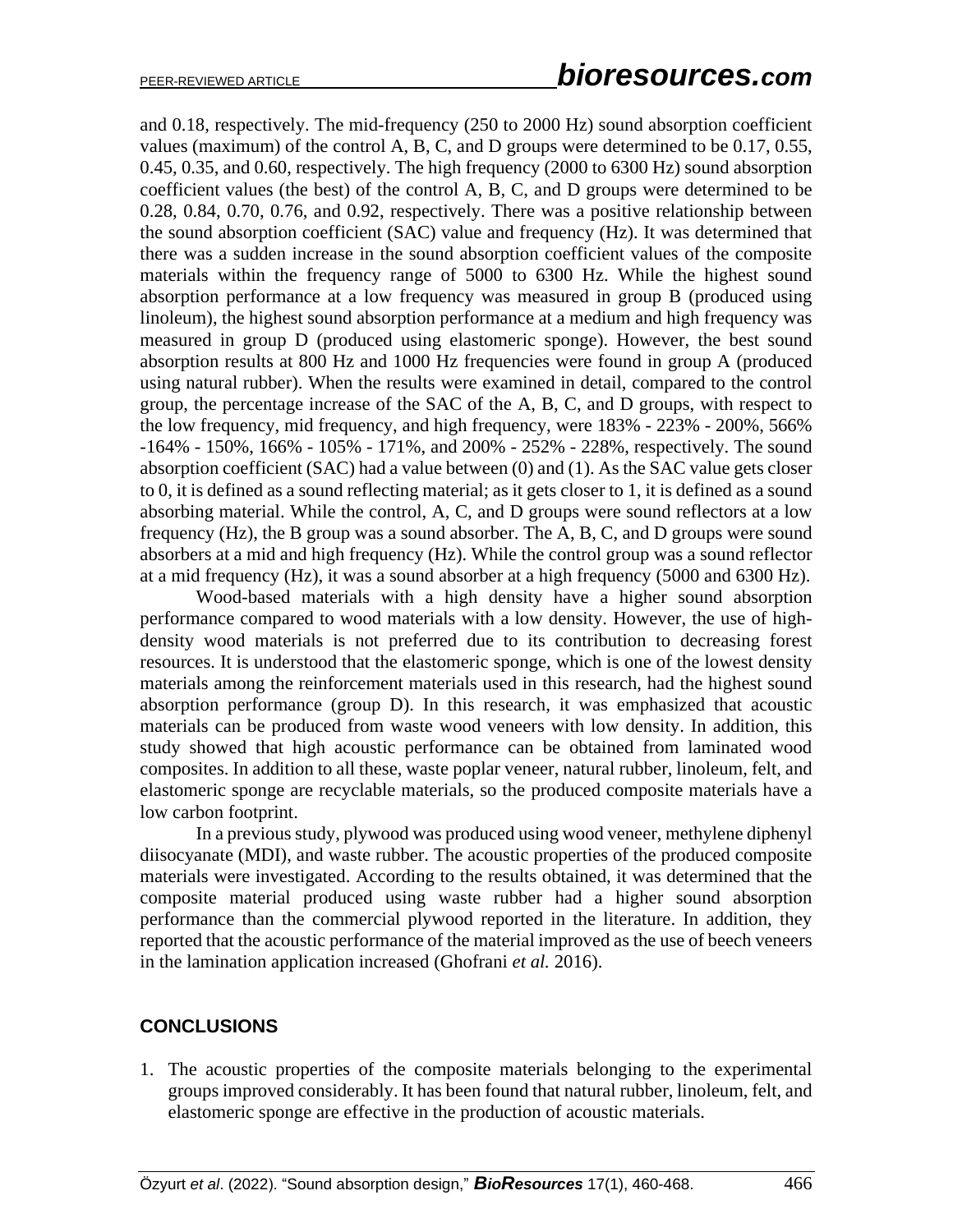and 0.18, respectively. The mid-frequency (250 to 2000 Hz) sound absorption coefficient values (maximum) of the control A, B, C, and D groups were determined to be 0.17, 0.55, 0.45, 0.35, and 0.60, respectively. The high frequency (2000 to 6300 Hz) sound absorption coefficient values (the best) of the control A, B, C, and D groups were determined to be 0.28, 0.84, 0.70, 0.76, and 0.92, respectively. There was a positive relationship between the sound absorption coefficient (SAC) value and frequency (Hz). It was determined that there was a sudden increase in the sound absorption coefficient values of the composite materials within the frequency range of 5000 to 6300 Hz. While the highest sound absorption performance at a low frequency was measured in group B (produced using linoleum), the highest sound absorption performance at a medium and high frequency was measured in group D (produced using elastomeric sponge). However, the best sound absorption results at 800 Hz and 1000 Hz frequencies were found in group A (produced using natural rubber). When the results were examined in detail, compared to the control group, the percentage increase of the SAC of the A, B, C, and D groups, with respect to the low frequency, mid frequency, and high frequency, were 183% - 223% - 200%, 566% -164% - 150%, 166% - 105% - 171%, and 200% - 252% - 228%, respectively. The sound absorption coefficient (SAC) had a value between (0) and (1). As the SAC value gets closer to 0, it is defined as a sound reflecting material; as it gets closer to 1, it is defined as a sound absorbing material. While the control, A, C, and D groups were sound reflectors at a low frequency (Hz), the B group was a sound absorber. The A, B, C, and D groups were sound absorbers at a mid and high frequency (Hz). While the control group was a sound reflector at a mid frequency (Hz), it was a sound absorber at a high frequency (5000 and 6300 Hz).

Wood-based materials with a high density have a higher sound absorption performance compared to wood materials with a low density. However, the use of highdensity wood materials is not preferred due to its contribution to decreasing forest resources. It is understood that the elastomeric sponge, which is one of the lowest density materials among the reinforcement materials used in this research, had the highest sound absorption performance (group D). In this research, it was emphasized that acoustic materials can be produced from waste wood veneers with low density. In addition, this study showed that high acoustic performance can be obtained from laminated wood composites. In addition to all these, waste poplar veneer, natural rubber, linoleum, felt, and elastomeric sponge are recyclable materials, so the produced composite materials have a low carbon footprint.

In a previous study, plywood was produced using wood veneer, methylene diphenyl diisocyanate (MDI), and waste rubber. The acoustic properties of the produced composite materials were investigated. According to the results obtained, it was determined that the composite material produced using waste rubber had a higher sound absorption performance than the commercial plywood reported in the literature. In addition, they reported that the acoustic performance of the material improved as the use of beech veneers in the lamination application increased (Ghofrani *et al.* 2016).

#### **CONCLUSIONS**

1. The acoustic properties of the composite materials belonging to the experimental groups improved considerably. It has been found that natural rubber, linoleum, felt, and elastomeric sponge are effective in the production of acoustic materials.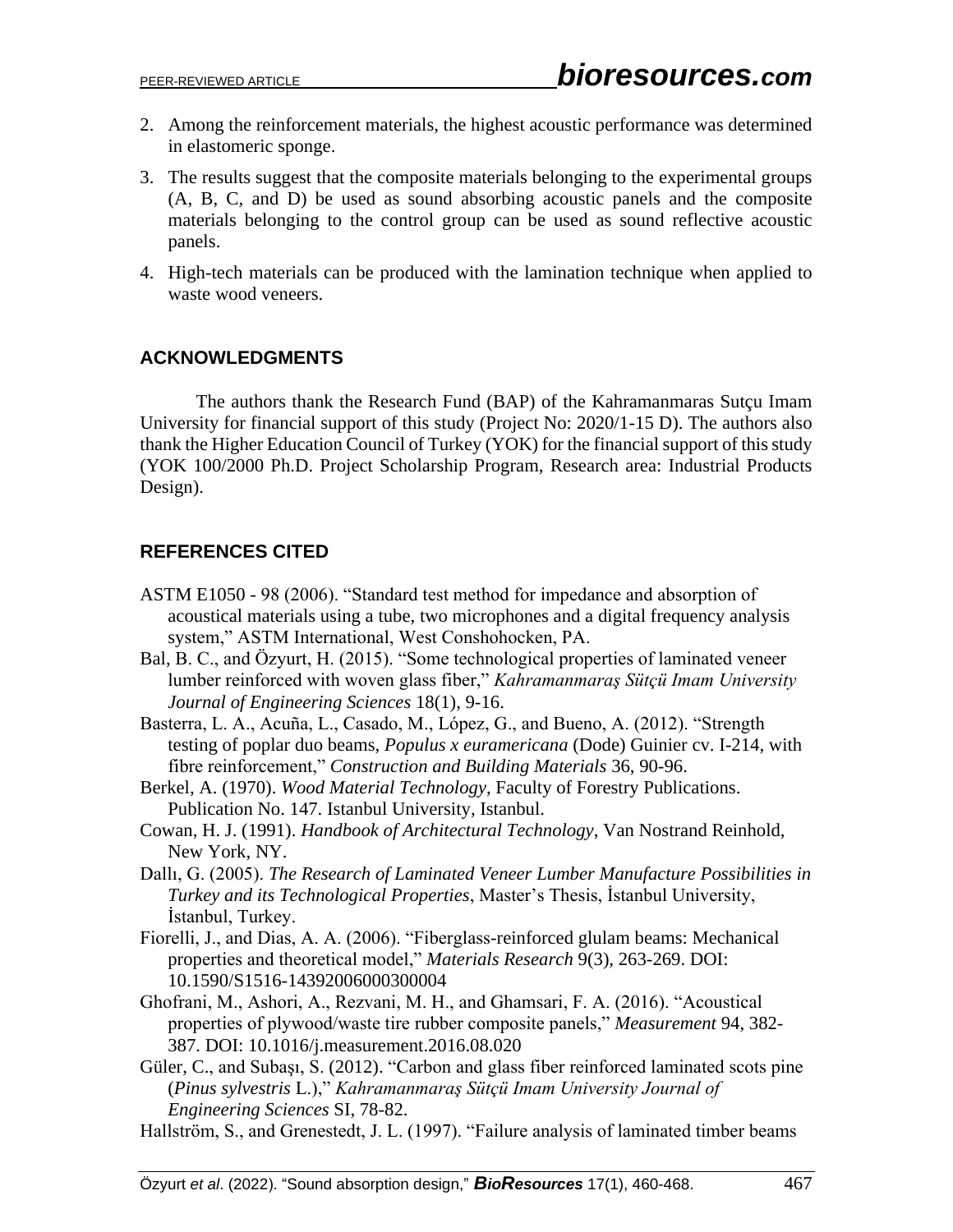- 2. Among the reinforcement materials, the highest acoustic performance was determined in elastomeric sponge.
- 3. The results suggest that the composite materials belonging to the experimental groups (A, B, C, and D) be used as sound absorbing acoustic panels and the composite materials belonging to the control group can be used as sound reflective acoustic panels.
- 4. High-tech materials can be produced with the lamination technique when applied to waste wood veneers.

# **ACKNOWLEDGMENTS**

The authors thank the Research Fund (BAP) of the Kahramanmaras Sutçu Imam University for financial support of this study (Project No: 2020/1-15 D). The authors also thank the Higher Education Council of Turkey (YOK) for the financial support of this study (YOK 100/2000 Ph.D. Project Scholarship Program, Research area: Industrial Products Design).

# **REFERENCES CITED**

- ASTM E1050 98 (2006). "Standard test method for impedance and absorption of acoustical materials using a tube, two microphones and a digital frequency analysis system," ASTM International, West Conshohocken, PA.
- Bal, B. C., and Özyurt, H. (2015). "Some technological properties of laminated veneer lumber reinforced with woven glass fiber," *Kahramanmaraş Sütçü Imam University Journal of Engineering Sciences* 18(1), 9-16.
- Basterra, L. A., Acuña, L., Casado, M., López, G., and Bueno, A. (2012). "Strength testing of poplar duo beams, *Populus x euramericana* (Dode) Guinier cv. I-214, with fibre reinforcement," *Construction and Building Materials* 36, 90-96.
- Berkel, A. (1970). *Wood Material Technology*, Faculty of Forestry Publications. Publication No. 147. Istanbul University, Istanbul.
- Cowan, H. J. (1991). *Handbook of Architectural Technology*, Van Nostrand Reinhold, New York, NY.
- Dallı, G. (2005). *The Research of Laminated Veneer Lumber Manufacture Possibilities in Turkey and its Technological Properties*, Master's Thesis, İstanbul University, İstanbul, Turkey.
- Fiorelli, J., and Dias, A. A. (2006). "Fiberglass-reinforced glulam beams: Mechanical properties and theoretical model," *Materials Research* 9(3), 263-269. DOI: 10.1590/S1516-14392006000300004
- Ghofrani, M., Ashori, A., Rezvani, M. H., and Ghamsari, F. A. (2016). "Acoustical properties of plywood/waste tire rubber composite panels," *Measurement* 94, 382- 387. DOI: 10.1016/j.measurement.2016.08.020
- Güler, C., and Subaşı, S. (2012). "Carbon and glass fiber reinforced laminated scots pine (*Pinus sylvestris* L.)," *Kahramanmaraş Sütçü Imam University Journal of Engineering Sciences* SI, 78-82.
- Hallström, S., and Grenestedt, J. L. (1997). "Failure analysis of laminated timber beams